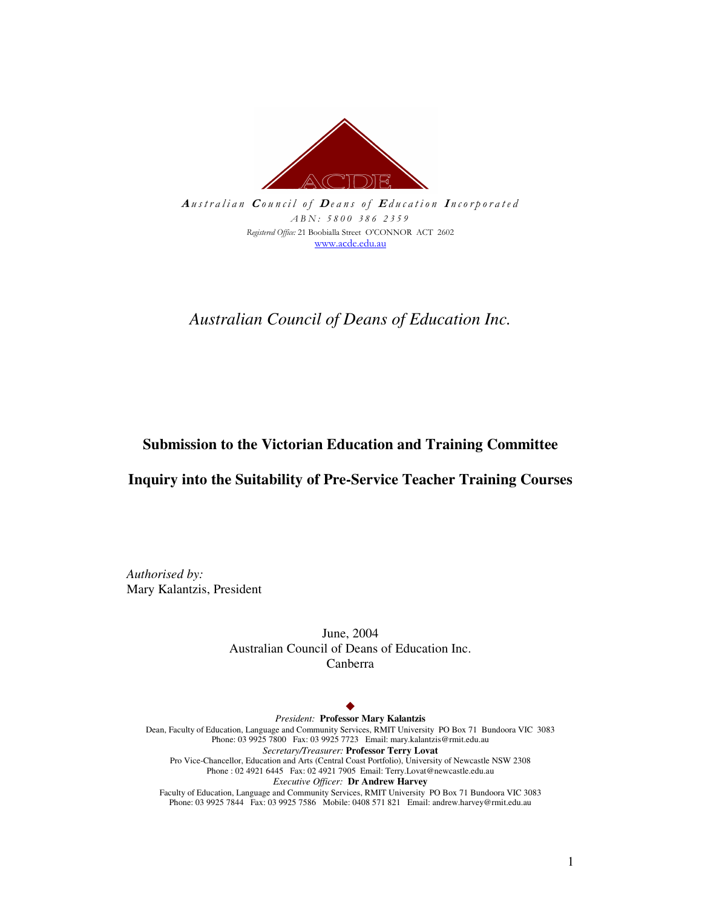

 $\emph{A}$ ustralian Council of Deans of Education Incorporated ABN: 5800 386 2359 Registered Office: 21 Boobialla Street O'CONNOR ACT 2602 www.acde.edu.au

*Australian Council of Deans of Education Inc.*

### **Submission to the Victorian Education and Training Committee**

### **Inquiry into the Suitability of Pre-Service Teacher Training Courses**

*Authorised by:* Mary Kalantzis, President

> June, 2004 Australian Council of Deans of Education Inc. Canberra

#### $\ddot{\bullet}$

*President:* **Professor Mary Kalantzis** Dean, Faculty of Education, Language and Community Services, RMIT University PO Box 71 Bundoora VIC 3083 Phone: 03 9925 7800 Fax: 03 9925 7723 Email: mary.kalantzis@rmit.edu.au *Secretary/Treasurer:* **Professor Terry Lovat** Pro Vice-Chancellor, Education and Arts (Central Coast Portfolio), University of Newcastle NSW 2308 Phone : 02 4921 6445 Fax: 02 4921 7905 Email: Terry.Lovat@newcastle.edu.au *Executive Officer:* **Dr Andrew Harvey** Faculty of Education, Language and Community Services, RMIT University PO Box 71 Bundoora VIC 3083

Phone: 03 9925 7844 Fax: 03 9925 7586 Mobile: 0408 571 821 Email: andrew.harvey@rmit.edu.au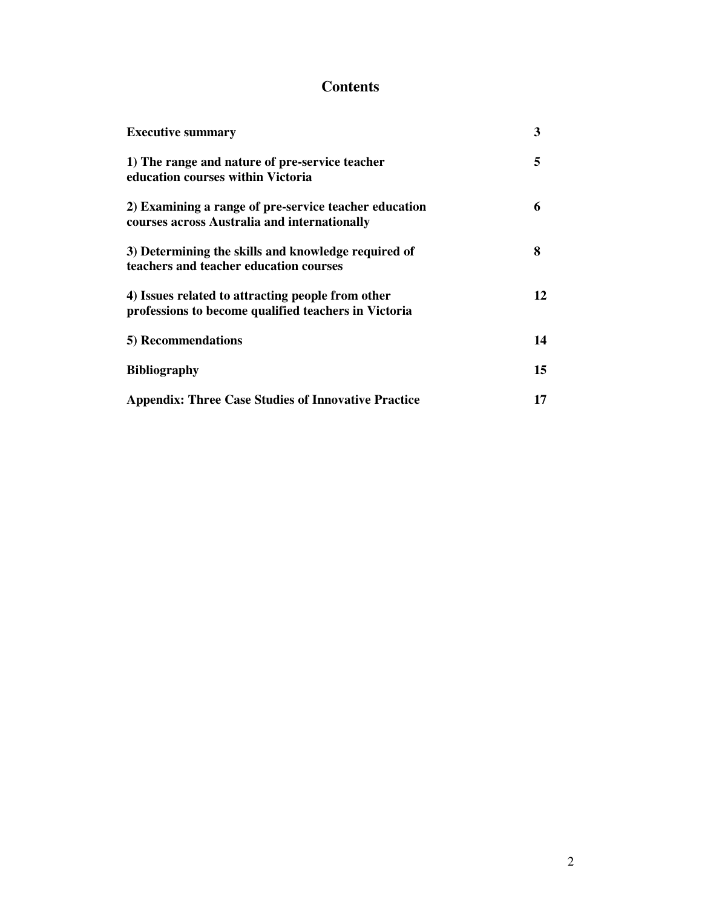# **Contents**

| <b>Executive summary</b>                                                                                  | 3  |
|-----------------------------------------------------------------------------------------------------------|----|
| 1) The range and nature of pre-service teacher<br>education courses within Victoria                       | 5  |
| 2) Examining a range of pre-service teacher education<br>courses across Australia and internationally     | 6  |
| 3) Determining the skills and knowledge required of<br>teachers and teacher education courses             | 8  |
| 4) Issues related to attracting people from other<br>professions to become qualified teachers in Victoria | 12 |
| 5) Recommendations                                                                                        | 14 |
| <b>Bibliography</b>                                                                                       | 15 |
| <b>Appendix: Three Case Studies of Innovative Practice</b>                                                | 17 |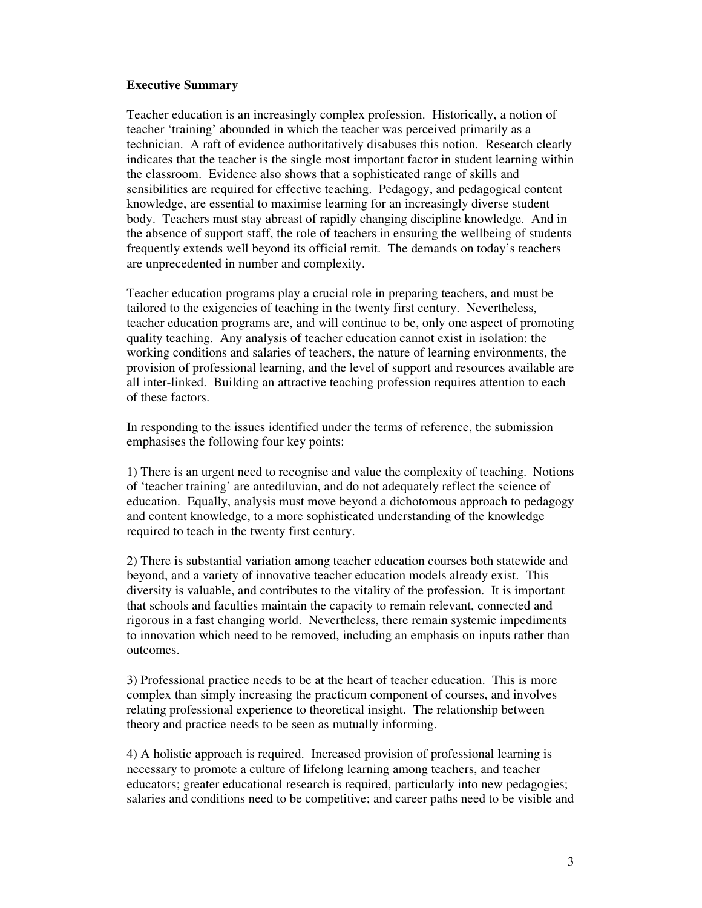#### **Executive Summary**

Teacher education is an increasingly complex profession. Historically, a notion of teacher 'training' abounded in which the teacher was perceived primarily as a technician. A raft of evidence authoritatively disabuses this notion. Research clearly indicates that the teacher is the single most important factor in student learning within the classroom. Evidence also shows that a sophisticated range of skills and sensibilities are required for effective teaching. Pedagogy, and pedagogical content knowledge, are essential to maximise learning for an increasingly diverse student body. Teachers must stay abreast of rapidly changing discipline knowledge. And in the absence of support staff, the role of teachers in ensuring the wellbeing of students frequently extends well beyond its official remit. The demands on today's teachers are unprecedented in number and complexity.

Teacher education programs play a crucial role in preparing teachers, and must be tailored to the exigencies of teaching in the twenty first century. Nevertheless, teacher education programs are, and will continue to be, only one aspect of promoting quality teaching. Any analysis of teacher education cannot exist in isolation: the working conditions and salaries of teachers, the nature of learning environments, the provision of professional learning, and the level of support and resources available are all inter-linked. Building an attractive teaching profession requires attention to each of these factors.

In responding to the issues identified under the terms of reference, the submission emphasises the following four key points:

1) There is an urgent need to recognise and value the complexity of teaching. Notions of 'teacher training' are antediluvian, and do not adequately reflect the science of education. Equally, analysis must move beyond a dichotomous approach to pedagogy and content knowledge, to a more sophisticated understanding of the knowledge required to teach in the twenty first century.

2) There is substantial variation among teacher education courses both statewide and beyond, and a variety of innovative teacher education models already exist. This diversity is valuable, and contributes to the vitality of the profession. It is important that schools and faculties maintain the capacity to remain relevant, connected and rigorous in a fast changing world. Nevertheless, there remain systemic impediments to innovation which need to be removed, including an emphasis on inputs rather than outcomes.

3) Professional practice needs to be at the heart of teacher education. This is more complex than simply increasing the practicum component of courses, and involves relating professional experience to theoretical insight. The relationship between theory and practice needs to be seen as mutually informing.

4) A holistic approach is required. Increased provision of professional learning is necessary to promote a culture of lifelong learning among teachers, and teacher educators; greater educational research is required, particularly into new pedagogies; salaries and conditions need to be competitive; and career paths need to be visible and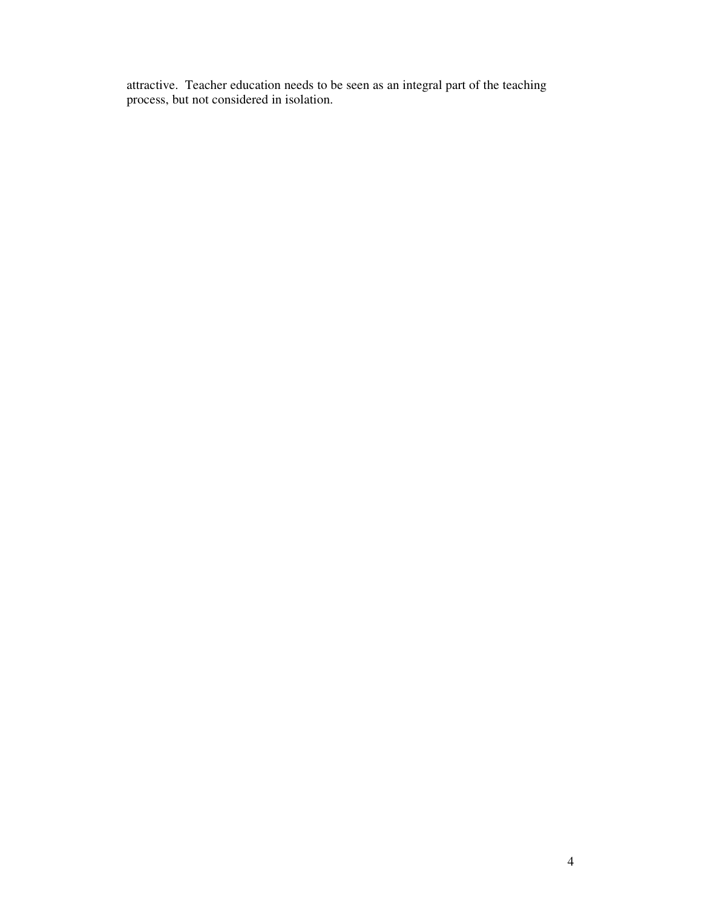attractive. Teacher education needs to be seen as an integral part of the teaching process, but not considered in isolation.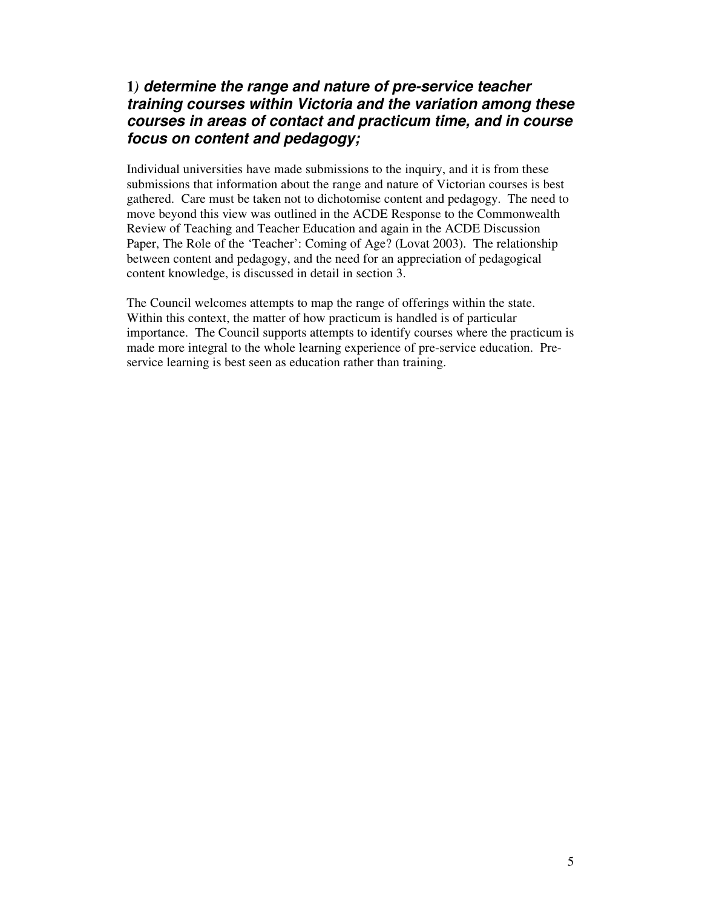# **1***) determine the range and nature of pre-service teacher training courses within Victoria and the variation among these courses in areas of contact and practicum time, and in course focus on content and pedagogy;*

Individual universities have made submissions to the inquiry, and it is from these submissions that information about the range and nature of Victorian courses is best gathered. Care must be taken not to dichotomise content and pedagogy. The need to move beyond this view was outlined in the ACDE Response to the Commonwealth Review of Teaching and Teacher Education and again in the ACDE Discussion Paper, The Role of the 'Teacher': Coming of Age? (Lovat 2003). The relationship between content and pedagogy, and the need for an appreciation of pedagogical content knowledge, is discussed in detail in section 3.

The Council welcomes attempts to map the range of offerings within the state. Within this context, the matter of how practicum is handled is of particular importance. The Council supports attempts to identify courses where the practicum is made more integral to the whole learning experience of pre-service education. Preservice learning is best seen as education rather than training.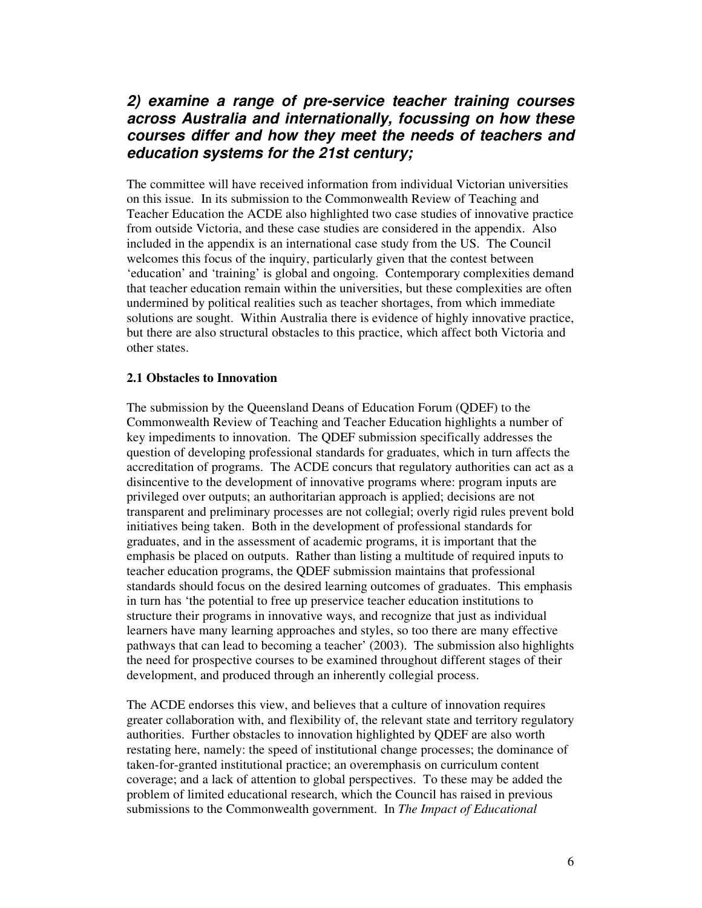# *2) examine a range of pre-service teacher training courses across Australia and internationally, focussing on how these courses differ and how they meet the needs of teachers and education systems for the 21st century;*

The committee will have received information from individual Victorian universities on this issue. In its submission to the Commonwealth Review of Teaching and Teacher Education the ACDE also highlighted two case studies of innovative practice from outside Victoria, and these case studies are considered in the appendix. Also included in the appendix is an international case study from the US. The Council welcomes this focus of the inquiry, particularly given that the contest between 'education' and 'training' is global and ongoing. Contemporary complexities demand that teacher education remain within the universities, but these complexities are often undermined by political realities such as teacher shortages, from which immediate solutions are sought. Within Australia there is evidence of highly innovative practice, but there are also structural obstacles to this practice, which affect both Victoria and other states.

#### **2.1 Obstacles to Innovation**

The submission by the Queensland Deans of Education Forum (QDEF) to the Commonwealth Review of Teaching and Teacher Education highlights a number of key impediments to innovation. The QDEF submission specifically addresses the question of developing professional standards for graduates, which in turn affects the accreditation of programs. The ACDE concurs that regulatory authorities can act as a disincentive to the development of innovative programs where: program inputs are privileged over outputs; an authoritarian approach is applied; decisions are not transparent and preliminary processes are not collegial; overly rigid rules prevent bold initiatives being taken. Both in the development of professional standards for graduates, and in the assessment of academic programs, it is important that the emphasis be placed on outputs. Rather than listing a multitude of required inputs to teacher education programs, the QDEF submission maintains that professional standards should focus on the desired learning outcomes of graduates. This emphasis in turn has 'the potential to free up preservice teacher education institutions to structure their programs in innovative ways, and recognize that just as individual learners have many learning approaches and styles, so too there are many effective pathways that can lead to becoming a teacher' (2003). The submission also highlights the need for prospective courses to be examined throughout different stages of their development, and produced through an inherently collegial process.

The ACDE endorses this view, and believes that a culture of innovation requires greater collaboration with, and flexibility of, the relevant state and territory regulatory authorities. Further obstacles to innovation highlighted by QDEF are also worth restating here, namely: the speed of institutional change processes; the dominance of taken-for-granted institutional practice; an overemphasis on curriculum content coverage; and a lack of attention to global perspectives. To these may be added the problem of limited educational research, which the Council has raised in previous submissions to the Commonwealth government. In *The Impact of Educational*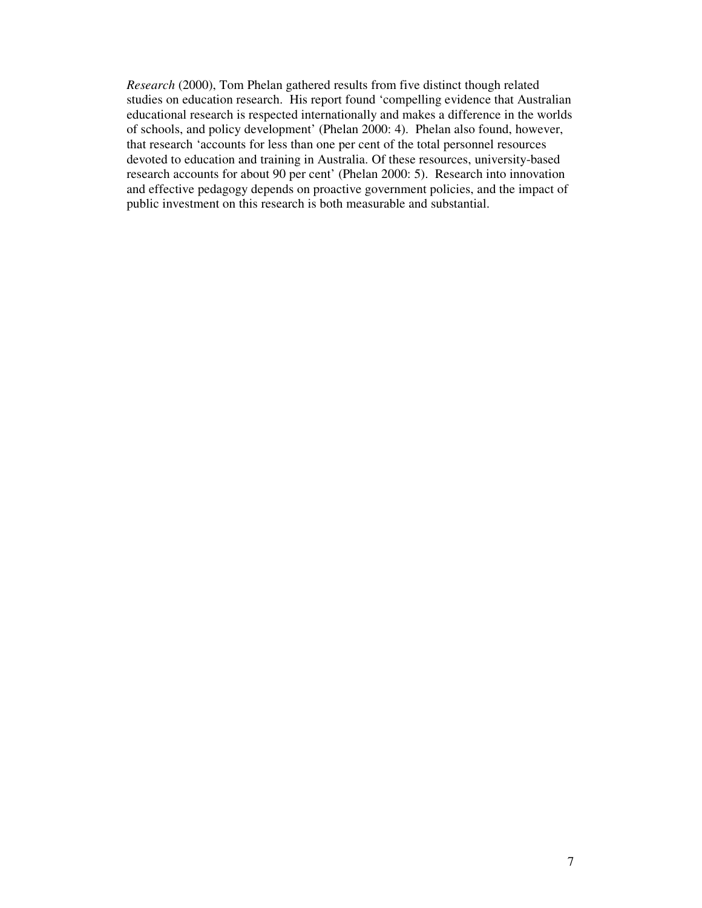*Research* (2000), Tom Phelan gathered results from five distinct though related studies on education research. His report found 'compelling evidence that Australian educational research is respected internationally and makes a difference in the worlds of schools, and policy development' (Phelan 2000: 4). Phelan also found, however, that research 'accounts for less than one per cent of the total personnel resources devoted to education and training in Australia. Of these resources, university-based research accounts for about 90 per cent' (Phelan 2000: 5). Research into innovation and effective pedagogy depends on proactive government policies, and the impact of public investment on this research is both measurable and substantial.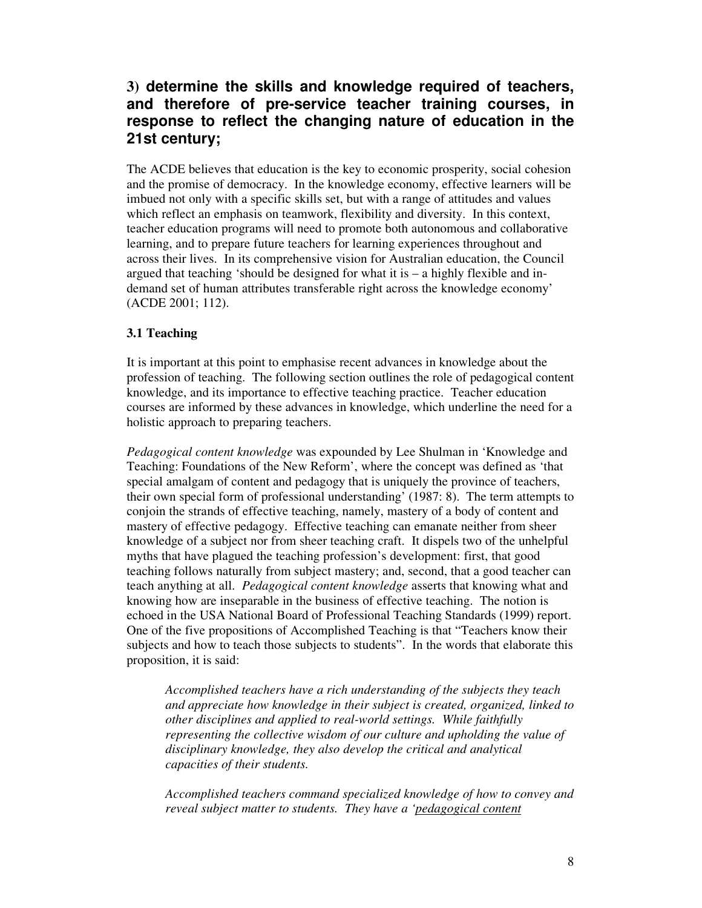# **3) determine the skills and knowledge required of teachers, and therefore of pre-service teacher training courses, in response to reflect the changing nature of education in the 21st century;**

The ACDE believes that education is the key to economic prosperity, social cohesion and the promise of democracy. In the knowledge economy, effective learners will be imbued not only with a specific skills set, but with a range of attitudes and values which reflect an emphasis on teamwork, flexibility and diversity. In this context, teacher education programs will need to promote both autonomous and collaborative learning, and to prepare future teachers for learning experiences throughout and across their lives. In its comprehensive vision for Australian education, the Council argued that teaching 'should be designed for what it is – a highly flexible and indemand set of human attributes transferable right across the knowledge economy' (ACDE 2001; 112).

### **3.1 Teaching**

It is important at this point to emphasise recent advances in knowledge about the profession of teaching. The following section outlines the role of pedagogical content knowledge, and its importance to effective teaching practice. Teacher education courses are informed by these advances in knowledge, which underline the need for a holistic approach to preparing teachers.

*Pedagogical content knowledge* was expounded by Lee Shulman in 'Knowledge and Teaching: Foundations of the New Reform', where the concept was defined as 'that special amalgam of content and pedagogy that is uniquely the province of teachers, their own special form of professional understanding' (1987: 8). The term attempts to conjoin the strands of effective teaching, namely, mastery of a body of content and mastery of effective pedagogy. Effective teaching can emanate neither from sheer knowledge of a subject nor from sheer teaching craft. It dispels two of the unhelpful myths that have plagued the teaching profession's development: first, that good teaching follows naturally from subject mastery; and, second, that a good teacher can teach anything at all. *Pedagogical content knowledge* asserts that knowing what and knowing how are inseparable in the business of effective teaching. The notion is echoed in the USA National Board of Professional Teaching Standards (1999) report. One of the five propositions of Accomplished Teaching is that "Teachers know their subjects and how to teach those subjects to students". In the words that elaborate this proposition, it is said:

*Accomplished teachers have a rich understanding of the subjects they teach and appreciate how knowledge in their subject is created, organized, linked to other disciplines and applied to real-world settings. While faithfully representing the collective wisdom of our culture and upholding the value of disciplinary knowledge, they also develop the critical and analytical capacities of their students.*

*Accomplished teachers command specialized knowledge of how to convey and reveal subject matter to students. They have a 'pedagogical content*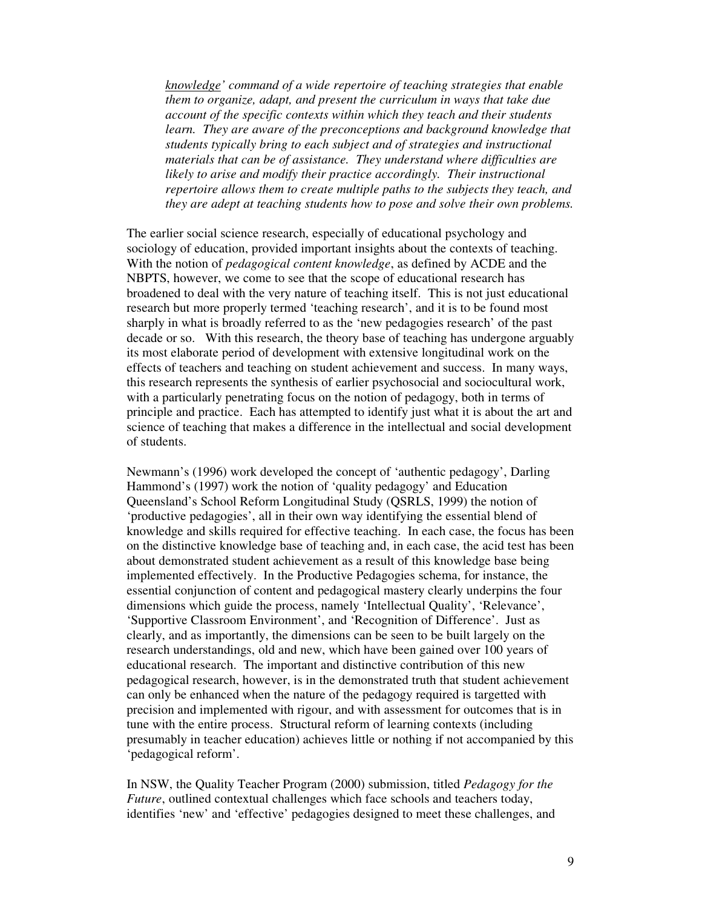*knowledge' command of a wide repertoire of teaching strategies that enable them to organize, adapt, and present the curriculum in ways that take due account of the specific contexts within which they teach and their students learn. They are aware of the preconceptions and background knowledge that students typically bring to each subject and of strategies and instructional materials that can be of assistance. They understand where difficulties are likely to arise and modify their practice accordingly. Their instructional repertoire allows them to create multiple paths to the subjects they teach, and they are adept at teaching students how to pose and solve their own problems.*

The earlier social science research, especially of educational psychology and sociology of education, provided important insights about the contexts of teaching. With the notion of *pedagogical content knowledge*, as defined by ACDE and the NBPTS, however, we come to see that the scope of educational research has broadened to deal with the very nature of teaching itself. This is not just educational research but more properly termed 'teaching research', and it is to be found most sharply in what is broadly referred to as the 'new pedagogies research' of the past decade or so. With this research, the theory base of teaching has undergone arguably its most elaborate period of development with extensive longitudinal work on the effects of teachers and teaching on student achievement and success. In many ways, this research represents the synthesis of earlier psychosocial and sociocultural work, with a particularly penetrating focus on the notion of pedagogy, both in terms of principle and practice. Each has attempted to identify just what it is about the art and science of teaching that makes a difference in the intellectual and social development of students.

Newmann's (1996) work developed the concept of 'authentic pedagogy', Darling Hammond's (1997) work the notion of 'quality pedagogy' and Education Queensland's School Reform Longitudinal Study (QSRLS, 1999) the notion of 'productive pedagogies', all in their own way identifying the essential blend of knowledge and skills required for effective teaching. In each case, the focus has been on the distinctive knowledge base of teaching and, in each case, the acid test has been about demonstrated student achievement as a result of this knowledge base being implemented effectively. In the Productive Pedagogies schema, for instance, the essential conjunction of content and pedagogical mastery clearly underpins the four dimensions which guide the process, namely 'Intellectual Quality', 'Relevance', 'Supportive Classroom Environment', and 'Recognition of Difference'. Just as clearly, and as importantly, the dimensions can be seen to be built largely on the research understandings, old and new, which have been gained over 100 years of educational research. The important and distinctive contribution of this new pedagogical research, however, is in the demonstrated truth that student achievement can only be enhanced when the nature of the pedagogy required is targetted with precision and implemented with rigour, and with assessment for outcomes that is in tune with the entire process. Structural reform of learning contexts (including presumably in teacher education) achieves little or nothing if not accompanied by this 'pedagogical reform'.

In NSW, the Quality Teacher Program (2000) submission, titled *Pedagogy for the Future*, outlined contextual challenges which face schools and teachers today, identifies 'new' and 'effective' pedagogies designed to meet these challenges, and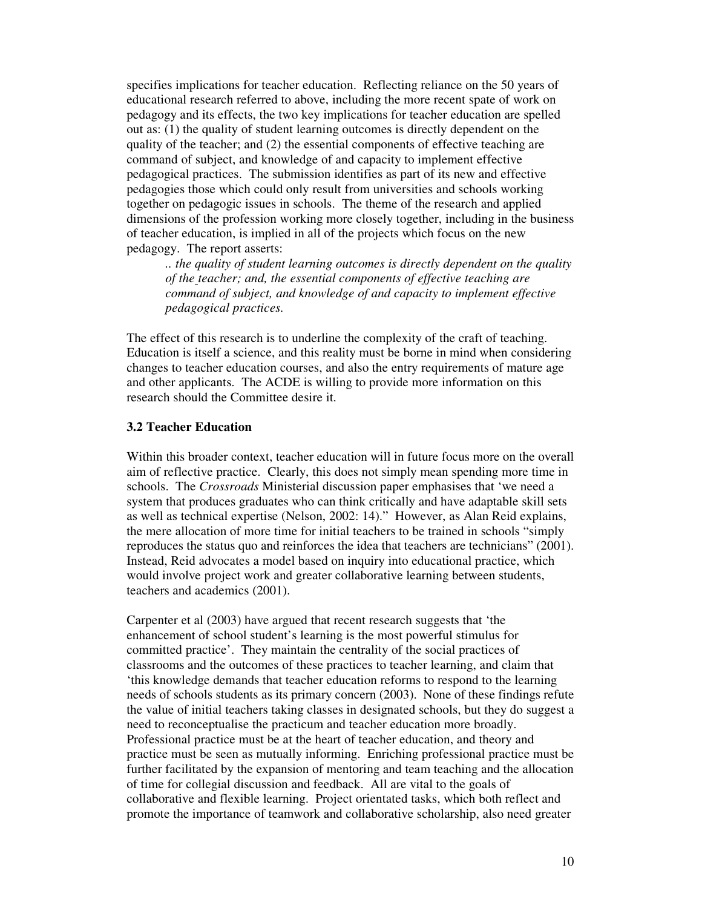specifies implications for teacher education. Reflecting reliance on the 50 years of educational research referred to above, including the more recent spate of work on pedagogy and its effects, the two key implications for teacher education are spelled out as: (1) the quality of student learning outcomes is directly dependent on the quality of the teacher; and (2) the essential components of effective teaching are command of subject, and knowledge of and capacity to implement effective pedagogical practices. The submission identifies as part of its new and effective pedagogies those which could only result from universities and schools working together on pedagogic issues in schools. The theme of the research and applied dimensions of the profession working more closely together, including in the business of teacher education, is implied in all of the projects which focus on the new pedagogy. The report asserts:

*.. the quality of student learning outcomes is directly dependent on the quality of the teacher; and, the essential components of effective teaching are command of subject, and knowledge of and capacity to implement effective pedagogical practices.*

The effect of this research is to underline the complexity of the craft of teaching. Education is itself a science, and this reality must be borne in mind when considering changes to teacher education courses, and also the entry requirements of mature age and other applicants. The ACDE is willing to provide more information on this research should the Committee desire it.

#### **3.2 Teacher Education**

Within this broader context, teacher education will in future focus more on the overall aim of reflective practice. Clearly, this does not simply mean spending more time in schools. The *Crossroads* Ministerial discussion paper emphasises that 'we need a system that produces graduates who can think critically and have adaptable skill sets as well as technical expertise (Nelson, 2002: 14)." However, as Alan Reid explains, the mere allocation of more time for initial teachers to be trained in schools "simply reproduces the status quo and reinforces the idea that teachers are technicians" (2001). Instead, Reid advocates a model based on inquiry into educational practice, which would involve project work and greater collaborative learning between students, teachers and academics (2001).

Carpenter et al (2003) have argued that recent research suggests that 'the enhancement of school student's learning is the most powerful stimulus for committed practice'. They maintain the centrality of the social practices of classrooms and the outcomes of these practices to teacher learning, and claim that 'this knowledge demands that teacher education reforms to respond to the learning needs of schools students as its primary concern (2003). None of these findings refute the value of initial teachers taking classes in designated schools, but they do suggest a need to reconceptualise the practicum and teacher education more broadly. Professional practice must be at the heart of teacher education, and theory and practice must be seen as mutually informing. Enriching professional practice must be further facilitated by the expansion of mentoring and team teaching and the allocation of time for collegial discussion and feedback. All are vital to the goals of collaborative and flexible learning. Project orientated tasks, which both reflect and promote the importance of teamwork and collaborative scholarship, also need greater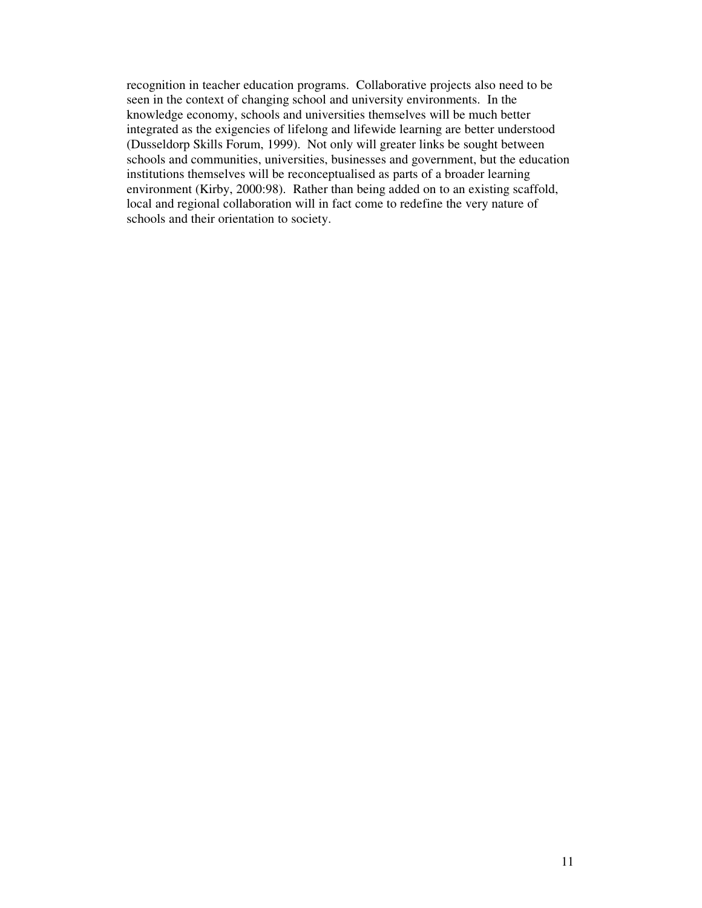recognition in teacher education programs. Collaborative projects also need to be seen in the context of changing school and university environments. In the knowledge economy, schools and universities themselves will be much better integrated as the exigencies of lifelong and lifewide learning are better understood (Dusseldorp Skills Forum, 1999). Not only will greater links be sought between schools and communities, universities, businesses and government, but the education institutions themselves will be reconceptualised as parts of a broader learning environment (Kirby, 2000:98). Rather than being added on to an existing scaffold, local and regional collaboration will in fact come to redefine the very nature of schools and their orientation to society.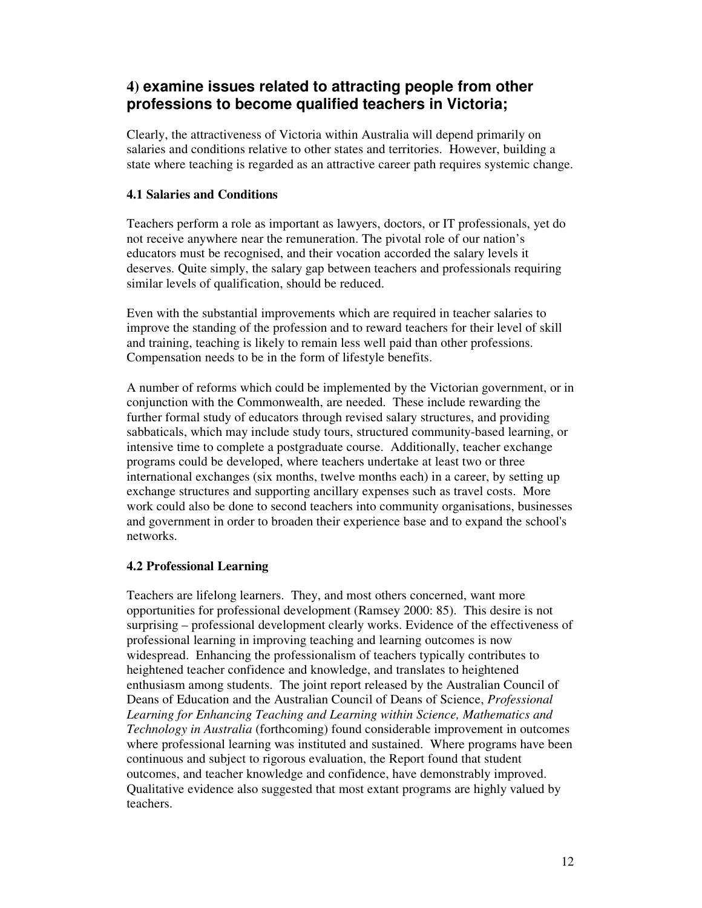# **4) examine issues related to attracting people from other professions to become qualified teachers in Victoria;**

Clearly, the attractiveness of Victoria within Australia will depend primarily on salaries and conditions relative to other states and territories. However, building a state where teaching is regarded as an attractive career path requires systemic change.

### **4.1 Salaries and Conditions**

Teachers perform a role as important as lawyers, doctors, or IT professionals, yet do not receive anywhere near the remuneration. The pivotal role of our nation's educators must be recognised, and their vocation accorded the salary levels it deserves. Quite simply, the salary gap between teachers and professionals requiring similar levels of qualification, should be reduced.

Even with the substantial improvements which are required in teacher salaries to improve the standing of the profession and to reward teachers for their level of skill and training, teaching is likely to remain less well paid than other professions. Compensation needs to be in the form of lifestyle benefits.

A number of reforms which could be implemented by the Victorian government, or in conjunction with the Commonwealth, are needed. These include rewarding the further formal study of educators through revised salary structures, and providing sabbaticals, which may include study tours, structured community-based learning, or intensive time to complete a postgraduate course. Additionally, teacher exchange programs could be developed, where teachers undertake at least two or three international exchanges (six months, twelve months each) in a career, by setting up exchange structures and supporting ancillary expenses such as travel costs. More work could also be done to second teachers into community organisations, businesses and government in order to broaden their experience base and to expand the school's networks.

### **4.2 Professional Learning**

Teachers are lifelong learners. They, and most others concerned, want more opportunities for professional development (Ramsey 2000: 85). This desire is not surprising – professional development clearly works. Evidence of the effectiveness of professional learning in improving teaching and learning outcomes is now widespread. Enhancing the professionalism of teachers typically contributes to heightened teacher confidence and knowledge, and translates to heightened enthusiasm among students. The joint report released by the Australian Council of Deans of Education and the Australian Council of Deans of Science, *Professional Learning for Enhancing Teaching and Learning within Science, Mathematics and Technology in Australia* (forthcoming) found considerable improvement in outcomes where professional learning was instituted and sustained. Where programs have been continuous and subject to rigorous evaluation, the Report found that student outcomes, and teacher knowledge and confidence, have demonstrably improved. Qualitative evidence also suggested that most extant programs are highly valued by teachers.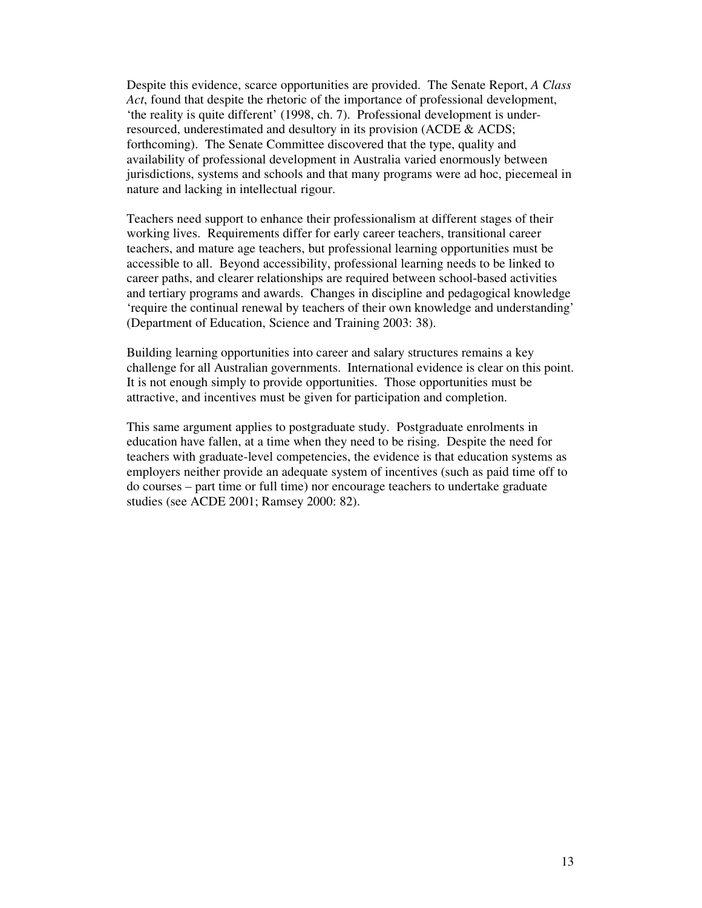Despite this evidence, scarce opportunities are provided. The Senate Report, *A Class Act*, found that despite the rhetoric of the importance of professional development, 'the reality is quite different' (1998, ch. 7). Professional development is underresourced, underestimated and desultory in its provision (ACDE & ACDS; forthcoming). The Senate Committee discovered that the type, quality and availability of professional development in Australia varied enormously between jurisdictions, systems and schools and that many programs were ad hoc, piecemeal in nature and lacking in intellectual rigour.

Teachers need support to enhance their professionalism at different stages of their working lives. Requirements differ for early career teachers, transitional career teachers, and mature age teachers, but professional learning opportunities must be accessible to all. Beyond accessibility, professional learning needs to be linked to career paths, and clearer relationships are required between school-based activities and tertiary programs and awards. Changes in discipline and pedagogical knowledge 'require the continual renewal by teachers of their own knowledge and understanding' (Department of Education, Science and Training 2003: 38).

Building learning opportunities into career and salary structures remains a key challenge for all Australian governments. International evidence is clear on this point. It is not enough simply to provide opportunities. Those opportunities must be attractive, and incentives must be given for participation and completion.

This same argument applies to postgraduate study. Postgraduate enrolments in education have fallen, at a time when they need to be rising. Despite the need for teachers with graduate-level competencies, the evidence is that education systems as employers neither provide an adequate system of incentives (such as paid time off to do courses – part time or full time) nor encourage teachers to undertake graduate studies (see ACDE 2001; Ramsey 2000: 82).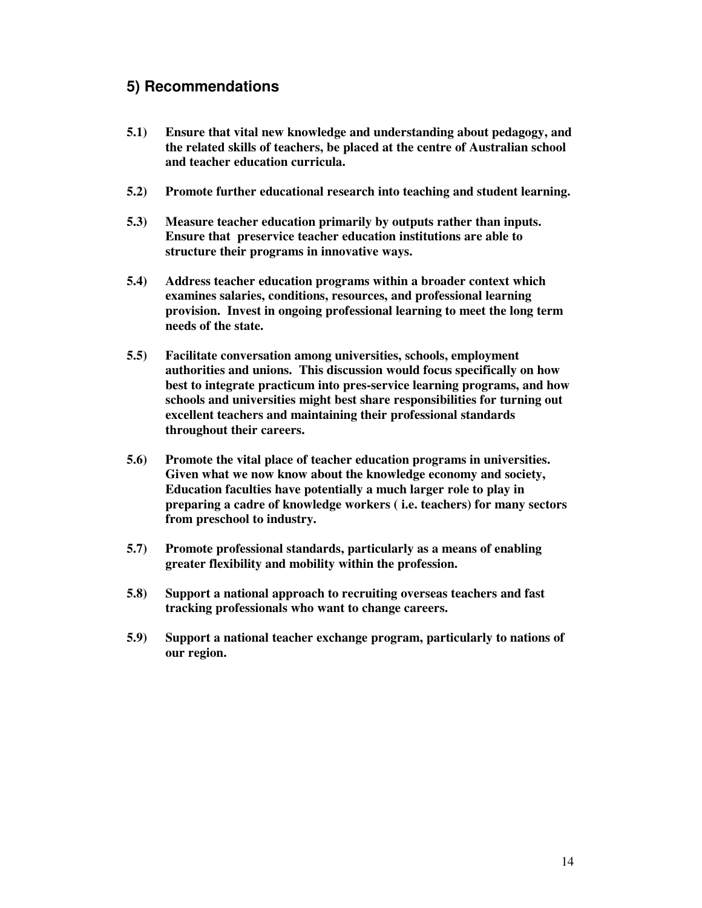# **5) Recommendations**

- **5.1) Ensure that vital new knowledge and understanding about pedagogy, and the related skills of teachers, be placed at the centre of Australian school and teacher education curricula.**
- **5.2) Promote further educational research into teaching and student learning.**
- **5.3) Measure teacher education primarily by outputs rather than inputs. Ensure that preservice teacher education institutions are able to structure their programs in innovative ways.**
- **5.4) Address teacher education programs within a broader context which examines salaries, conditions, resources, and professional learning provision. Invest in ongoing professional learning to meet the long term needs of the state.**
- **5.5) Facilitate conversation among universities, schools, employment authorities and unions. This discussion would focus specifically on how best to integrate practicum into pres-service learning programs, and how schools and universities might best share responsibilities for turning out excellent teachers and maintaining their professional standards throughout their careers.**
- **5.6) Promote the vital place of teacher education programs in universities. Given what we now know about the knowledge economy and society, Education faculties have potentially a much larger role to play in preparing a cadre of knowledge workers ( i.e. teachers) for many sectors from preschool to industry.**
- **5.7) Promote professional standards, particularly as a means of enabling greater flexibility and mobility within the profession.**
- **5.8) Support a national approach to recruiting overseas teachers and fast tracking professionals who want to change careers.**
- **5.9) Support a national teacher exchange program, particularly to nations of our region.**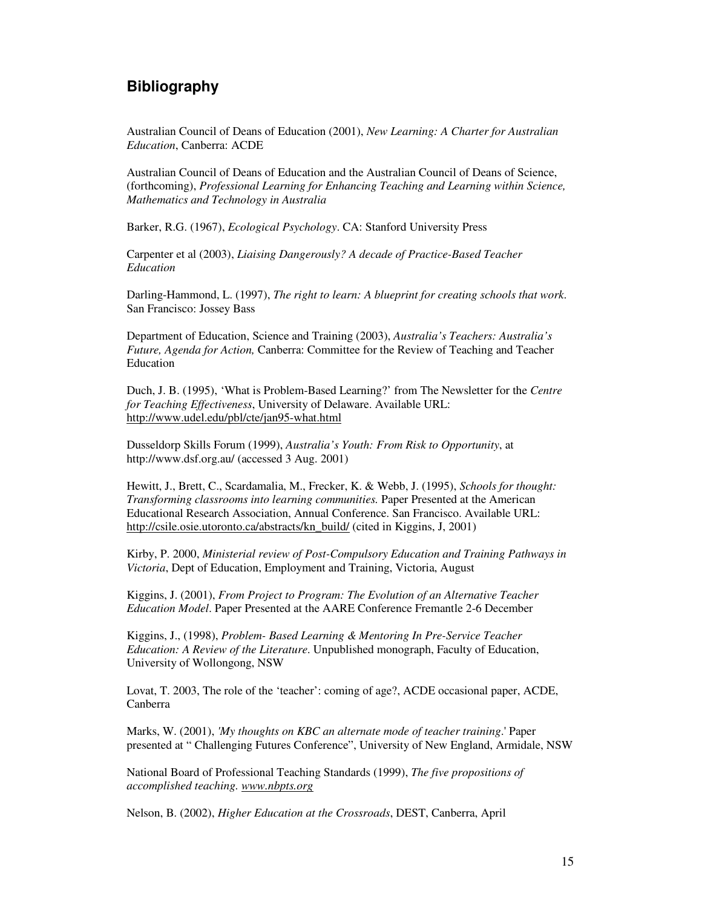## **Bibliography**

Australian Council of Deans of Education (2001), *New Learning: A Charter for Australian Education*, Canberra: ACDE

Australian Council of Deans of Education and the Australian Council of Deans of Science, (forthcoming), *Professional Learning for Enhancing Teaching and Learning within Science, Mathematics and Technology in Australia*

Barker, R.G. (1967), *Ecological Psychology*. CA: Stanford University Press

Carpenter et al (2003), *Liaising Dangerously? A decade of Practice-Based Teacher Education*

Darling-Hammond, L. (1997), *The right to learn: A blueprint for creating schools that work*. San Francisco: Jossey Bass

Department of Education, Science and Training (2003), *Australia's Teachers: Australia's Future, Agenda for Action,* Canberra: Committee for the Review of Teaching and Teacher Education

Duch, J. B. (1995), 'What is Problem-Based Learning?' from The Newsletter for the *Centre for Teaching Effectiveness*, University of Delaware. Available URL: http://www.udel.edu/pbl/cte/jan95-what.html

Dusseldorp Skills Forum (1999), *Australia's Youth: From Risk to Opportunity*, at http://www.dsf.org.au/ (accessed 3 Aug. 2001)

Hewitt, J., Brett, C., Scardamalia, M., Frecker, K. & Webb, J. (1995), *Schools for thought: Transforming classrooms into learning communities.* Paper Presented at the American Educational Research Association, Annual Conference. San Francisco. Available URL: http://csile.osie.utoronto.ca/abstracts/kn\_build/ (cited in Kiggins, J, 2001)

Kirby, P. 2000, *Ministerial review of Post-Compulsory Education and Training Pathways in Victoria*, Dept of Education, Employment and Training, Victoria, August

Kiggins, J. (2001), *From Project to Program: The Evolution of an Alternative Teacher Education Model*. Paper Presented at the AARE Conference Fremantle 2-6 December

Kiggins, J., (1998), *Problem- Based Learning & Mentoring In Pre-Service Teacher Education: A Review of the Literature*. Unpublished monograph, Faculty of Education, University of Wollongong, NSW

Lovat, T. 2003, The role of the 'teacher': coming of age?, ACDE occasional paper, ACDE, Canberra

Marks, W. (2001), *'My thoughts on KBC an alternate mode of teacher training*.'Paper presented at " Challenging Futures Conference", University of New England, Armidale, NSW

National Board of Professional Teaching Standards (1999), *The five propositions of accomplished teaching. www.nbpts.org*

Nelson, B. (2002), *Higher Education at the Crossroads*, DEST, Canberra, April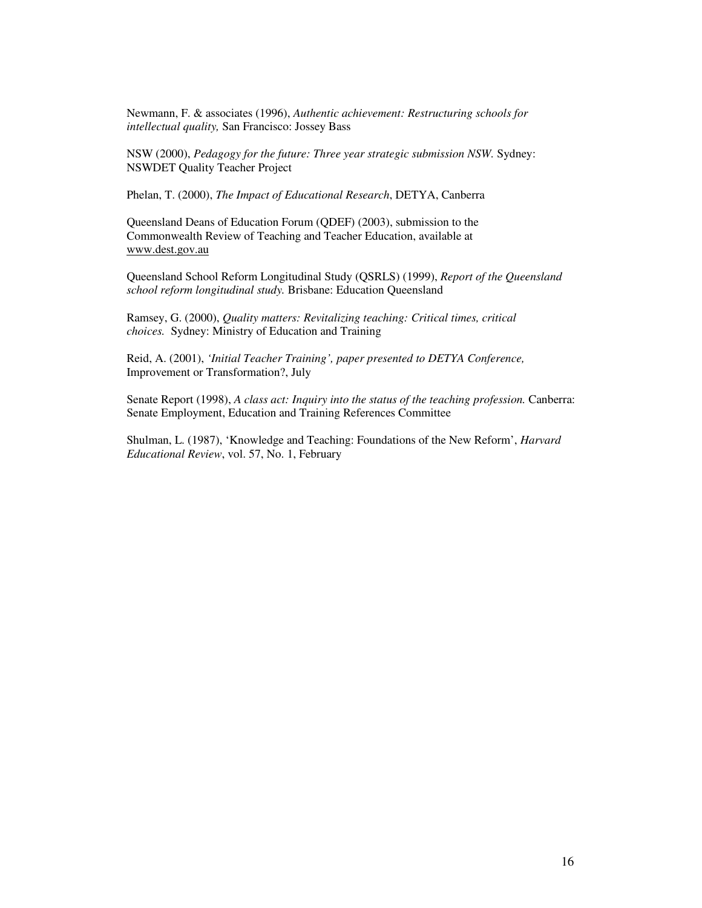Newmann, F. & associates (1996), *Authentic achievement: Restructuring schools for intellectual quality,* San Francisco: Jossey Bass

NSW (2000), *Pedagogy for the future: Three year strategic submission NSW.* Sydney: NSWDET Quality Teacher Project

Phelan, T. (2000), *The Impact of Educational Research*, DETYA, Canberra

Queensland Deans of Education Forum (QDEF) (2003), submission to the Commonwealth Review of Teaching and Teacher Education, available at www.dest.gov.au

Queensland School Reform Longitudinal Study (QSRLS) (1999), *Report of the Queensland school reform longitudinal study.* Brisbane: Education Queensland

Ramsey, G. (2000), *Quality matters: Revitalizing teaching: Critical times, critical choices.* Sydney: Ministry of Education and Training

Reid, A. (2001), *'Initial Teacher Training', paper presented to DETYA Conference,* Improvement or Transformation?, July

Senate Report (1998), *A class act: Inquiry into the status of the teaching profession.* Canberra: Senate Employment, Education and Training References Committee

Shulman, L. (1987), 'Knowledge and Teaching: Foundations of the New Reform', *Harvard Educational Review*, vol. 57, No. 1, February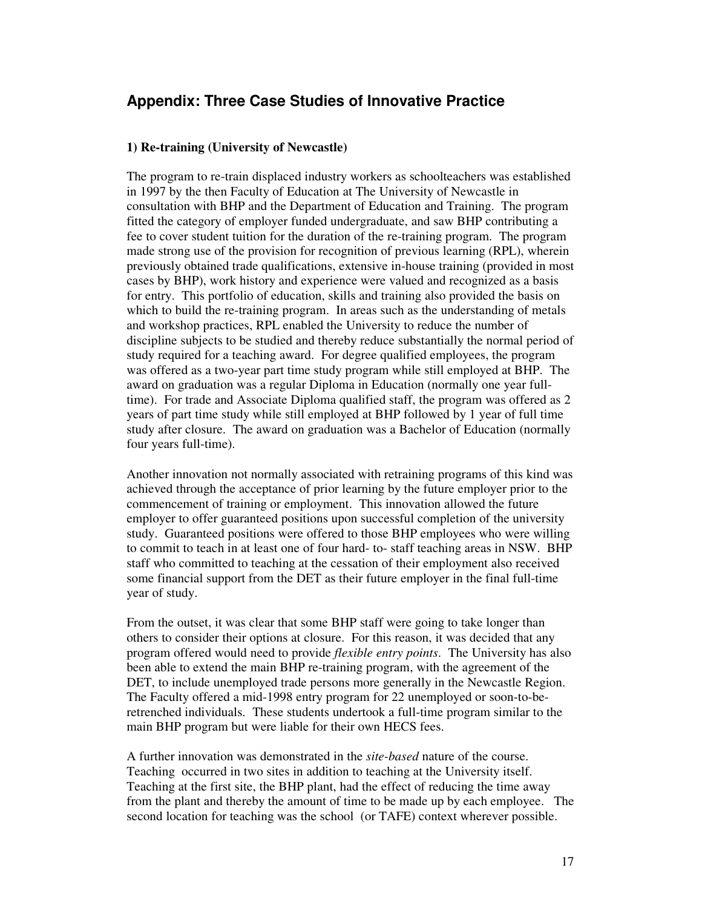# **Appendix: Three Case Studies of Innovative Practice**

#### **1) Re-training (University of Newcastle)**

The program to re-train displaced industry workers as schoolteachers was established in 1997 by the then Faculty of Education at The University of Newcastle in consultation with BHP and the Department of Education and Training. The program fitted the category of employer funded undergraduate, and saw BHP contributing a fee to cover student tuition for the duration of the re-training program. The program made strong use of the provision for recognition of previous learning (RPL), wherein previously obtained trade qualifications, extensive in-house training (provided in most cases by BHP), work history and experience were valued and recognized as a basis for entry. This portfolio of education, skills and training also provided the basis on which to build the re-training program. In areas such as the understanding of metals and workshop practices, RPL enabled the University to reduce the number of discipline subjects to be studied and thereby reduce substantially the normal period of study required for a teaching award. For degree qualified employees, the program was offered as a two-year part time study program while still employed at BHP. The award on graduation was a regular Diploma in Education (normally one year fulltime). For trade and Associate Diploma qualified staff, the program was offered as 2 years of part time study while still employed at BHP followed by 1 year of full time study after closure. The award on graduation was a Bachelor of Education (normally four years full-time).

Another innovation not normally associated with retraining programs of this kind was achieved through the acceptance of prior learning by the future employer prior to the commencement of training or employment. This innovation allowed the future employer to offer guaranteed positions upon successful completion of the university study. Guaranteed positions were offered to those BHP employees who were willing to commit to teach in at least one of four hard- to- staff teaching areas in NSW. BHP staff who committed to teaching at the cessation of their employment also received some financial support from the DET as their future employer in the final full-time year of study.

From the outset, it was clear that some BHP staff were going to take longer than others to consider their options at closure. For this reason, it was decided that any program offered would need to provide *flexible entry points*. The University has also been able to extend the main BHP re-training program, with the agreement of the DET, to include unemployed trade persons more generally in the Newcastle Region. The Faculty offered a mid-1998 entry program for 22 unemployed or soon-to-beretrenched individuals. These students undertook a full-time program similar to the main BHP program but were liable for their own HECS fees.

A further innovation was demonstrated in the *site-based* nature of the course. Teaching occurred in two sites in addition to teaching at the University itself. Teaching at the first site, the BHP plant, had the effect of reducing the time away from the plant and thereby the amount of time to be made up by each employee. The second location for teaching was the school (or TAFE) context wherever possible.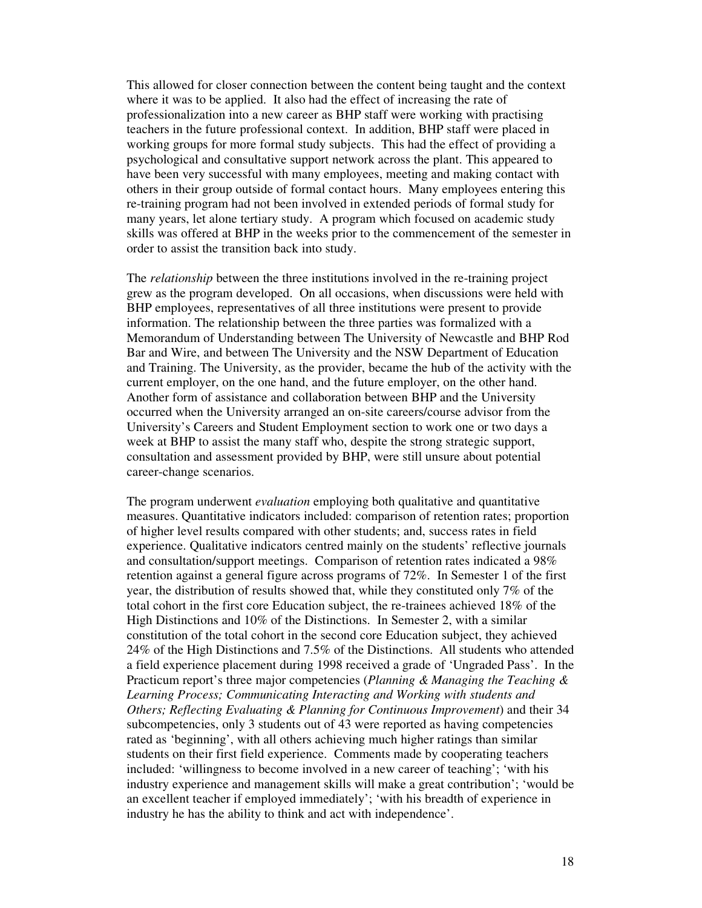This allowed for closer connection between the content being taught and the context where it was to be applied. It also had the effect of increasing the rate of professionalization into a new career as BHP staff were working with practising teachers in the future professional context. In addition, BHP staff were placed in working groups for more formal study subjects. This had the effect of providing a psychological and consultative support network across the plant. This appeared to have been very successful with many employees, meeting and making contact with others in their group outside of formal contact hours. Many employees entering this re-training program had not been involved in extended periods of formal study for many years, let alone tertiary study. A program which focused on academic study skills was offered at BHP in the weeks prior to the commencement of the semester in order to assist the transition back into study.

The *relationship* between the three institutions involved in the re-training project grew as the program developed. On all occasions, when discussions were held with BHP employees, representatives of all three institutions were present to provide information. The relationship between the three parties was formalized with a Memorandum of Understanding between The University of Newcastle and BHP Rod Bar and Wire, and between The University and the NSW Department of Education and Training. The University, as the provider, became the hub of the activity with the current employer, on the one hand, and the future employer, on the other hand. Another form of assistance and collaboration between BHP and the University occurred when the University arranged an on-site careers/course advisor from the University's Careers and Student Employment section to work one or two days a week at BHP to assist the many staff who, despite the strong strategic support, consultation and assessment provided by BHP, were still unsure about potential career-change scenarios.

The program underwent *evaluation* employing both qualitative and quantitative measures. Quantitative indicators included: comparison of retention rates; proportion of higher level results compared with other students; and, success rates in field experience. Qualitative indicators centred mainly on the students' reflective journals and consultation/support meetings. Comparison of retention rates indicated a 98% retention against a general figure across programs of 72%. In Semester 1 of the first year, the distribution of results showed that, while they constituted only 7% of the total cohort in the first core Education subject, the re-trainees achieved 18% of the High Distinctions and 10% of the Distinctions. In Semester 2, with a similar constitution of the total cohort in the second core Education subject, they achieved 24% of the High Distinctions and 7.5% of the Distinctions. All students who attended a field experience placement during 1998 received a grade of 'Ungraded Pass'. In the Practicum report's three major competencies (*Planning & Managing the Teaching & Learning Process; Communicating Interacting and Working with students and Others; Reflecting Evaluating & Planning for Continuous Improvement*) and their 34 subcompetencies, only 3 students out of 43 were reported as having competencies rated as 'beginning', with all others achieving much higher ratings than similar students on their first field experience. Comments made by cooperating teachers included: 'willingness to become involved in a new career of teaching'; 'with his industry experience and management skills will make a great contribution'; 'would be an excellent teacher if employed immediately'; 'with his breadth of experience in industry he has the ability to think and act with independence'.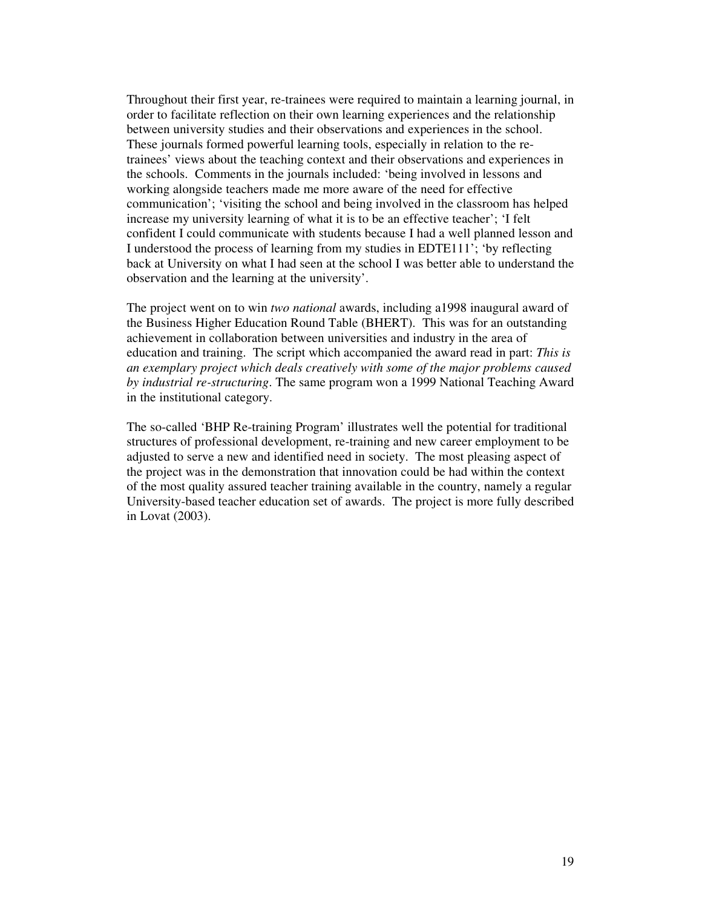Throughout their first year, re-trainees were required to maintain a learning journal, in order to facilitate reflection on their own learning experiences and the relationship between university studies and their observations and experiences in the school. These journals formed powerful learning tools, especially in relation to the retrainees' views about the teaching context and their observations and experiences in the schools. Comments in the journals included: 'being involved in lessons and working alongside teachers made me more aware of the need for effective communication'; 'visiting the school and being involved in the classroom has helped increase my university learning of what it is to be an effective teacher'; 'I felt confident I could communicate with students because I had a well planned lesson and I understood the process of learning from my studies in EDTE111'; 'by reflecting back at University on what I had seen at the school I was better able to understand the observation and the learning at the university'.

The project went on to win *two national* awards, including a1998 inaugural award of the Business Higher Education Round Table (BHERT). This was for an outstanding achievement in collaboration between universities and industry in the area of education and training. The script which accompanied the award read in part: *This is an exemplary project which deals creatively with some of the major problems caused by industrial re-structuring*. The same program won a 1999 National Teaching Award in the institutional category.

The so-called 'BHP Re-training Program' illustrates well the potential for traditional structures of professional development, re-training and new career employment to be adjusted to serve a new and identified need in society. The most pleasing aspect of the project was in the demonstration that innovation could be had within the context of the most quality assured teacher training available in the country, namely a regular University-based teacher education set of awards. The project is more fully described in Lovat (2003).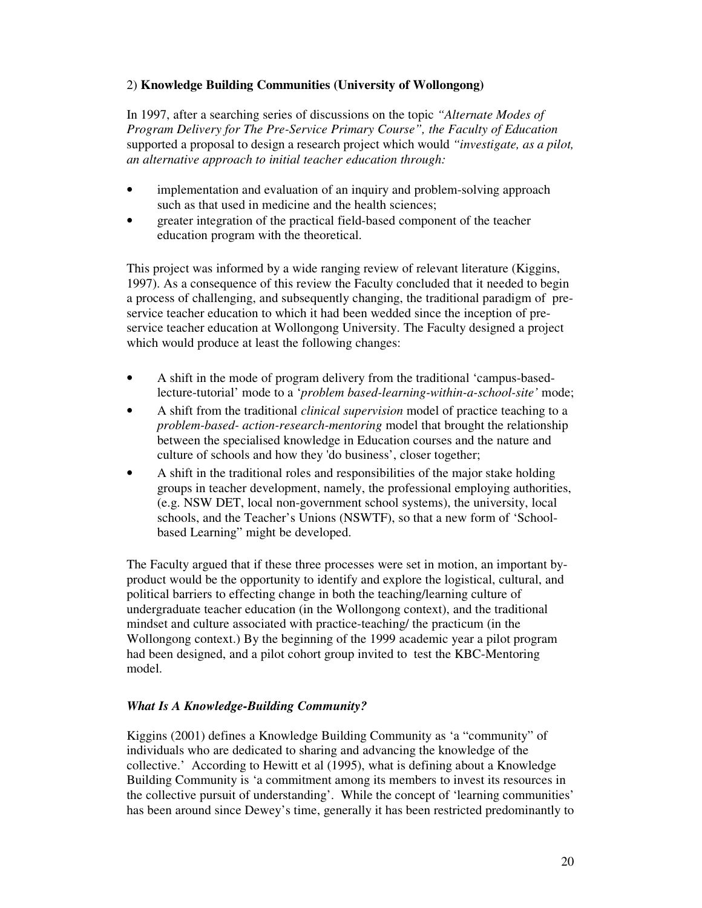### 2) **Knowledge Building Communities (University of Wollongong)**

In 1997, after a searching series of discussions on the topic *"Alternate Modes of Program Delivery for The Pre-Service Primary Course", the Faculty of Education* supported a proposal to design a research project which would *"investigate, as a pilot, an alternative approach to initial teacher education through:*

- implementation and evaluation of an inquiry and problem-solving approach such as that used in medicine and the health sciences;
- greater integration of the practical field-based component of the teacher education program with the theoretical.

This project was informed by a wide ranging review of relevant literature (Kiggins, 1997). As a consequence of this review the Faculty concluded that it needed to begin a process of challenging, and subsequently changing, the traditional paradigm of preservice teacher education to which it had been wedded since the inception of preservice teacher education at Wollongong University. The Faculty designed a project which would produce at least the following changes:

- A shift in the mode of program delivery from the traditional 'campus-basedlecture-tutorial' mode to a '*problem based-learning-within-a-school-site'* mode;
- A shift from the traditional *clinical supervision* model of practice teaching to a *problem-based- action-research-mentoring* model that brought the relationship between the specialised knowledge in Education courses and the nature and culture of schools and how they 'do business', closer together;
- A shift in the traditional roles and responsibilities of the major stake holding groups in teacher development, namely, the professional employing authorities, (e.g. NSW DET, local non-government school systems), the university, local schools, and the Teacher's Unions (NSWTF), so that a new form of 'Schoolbased Learning" might be developed.

The Faculty argued that if these three processes were set in motion, an important byproduct would be the opportunity to identify and explore the logistical, cultural, and political barriers to effecting change in both the teaching/learning culture of undergraduate teacher education (in the Wollongong context), and the traditional mindset and culture associated with practice-teaching/ the practicum (in the Wollongong context.) By the beginning of the 1999 academic year a pilot program had been designed, and a pilot cohort group invited to test the KBC-Mentoring model.

### *What Is A Knowledge-Building Community?*

Kiggins (2001) defines a Knowledge Building Community as 'a "community" of individuals who are dedicated to sharing and advancing the knowledge of the collective.' According to Hewitt et al (1995), what is defining about a Knowledge Building Community is 'a commitment among its members to invest its resources in the collective pursuit of understanding'. While the concept of 'learning communities' has been around since Dewey's time, generally it has been restricted predominantly to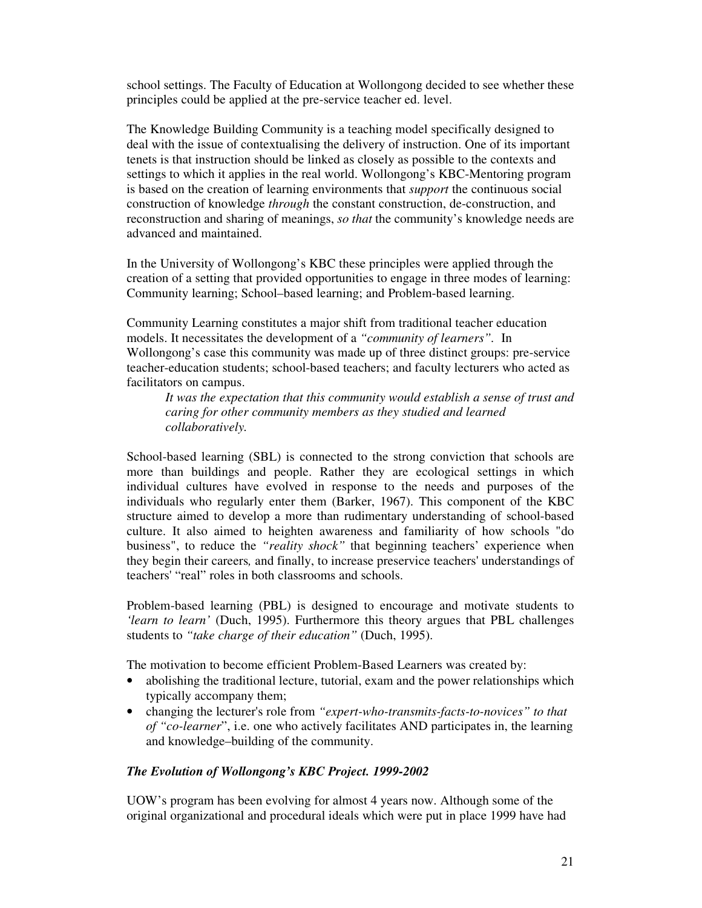school settings. The Faculty of Education at Wollongong decided to see whether these principles could be applied at the pre-service teacher ed. level.

The Knowledge Building Community is a teaching model specifically designed to deal with the issue of contextualising the delivery of instruction. One of its important tenets is that instruction should be linked as closely as possible to the contexts and settings to which it applies in the real world. Wollongong's KBC-Mentoring program is based on the creation of learning environments that *support* the continuous social construction of knowledge *through* the constant construction, de-construction, and reconstruction and sharing of meanings, *so that* the community's knowledge needs are advanced and maintained.

In the University of Wollongong's KBC these principles were applied through the creation of a setting that provided opportunities to engage in three modes of learning: Community learning; School–based learning; and Problem-based learning.

Community Learning constitutes a major shift from traditional teacher education models. It necessitates the development of a *"community of learners".* In Wollongong's case this community was made up of three distinct groups: pre-service teacher-education students; school-based teachers; and faculty lecturers who acted as facilitators on campus.

*It was the expectation that this community would establish a sense of trust and caring for other community members as they studied and learned collaboratively.*

School-based learning (SBL) is connected to the strong conviction that schools are more than buildings and people. Rather they are ecological settings in which individual cultures have evolved in response to the needs and purposes of the individuals who regularly enter them (Barker, 1967). This component of the KBC structure aimed to develop a more than rudimentary understanding of school-based culture. It also aimed to heighten awareness and familiarity of how schools "do business", to reduce the *"reality shock"* that beginning teachers' experience when they begin their careers*,* and finally, to increase preservice teachers'understandings of teachers'"real" roles in both classrooms and schools.

Problem-based learning (PBL) is designed to encourage and motivate students to *'learn to learn'* (Duch, 1995). Furthermore this theory argues that PBL challenges students to *"take charge of their education"* (Duch, 1995).

The motivation to become efficient Problem-Based Learners was created by:

- abolishing the traditional lecture, tutorial, exam and the power relationships which typically accompany them;
- changing the lecturer's role from *"expert-who-transmits-facts-to-novices" to that of "co-learner*", i.e. one who actively facilitates AND participates in, the learning and knowledge–building of the community.

### *The Evolution of Wollongong's KBC Project. 1999-2002*

UOW's program has been evolving for almost 4 years now. Although some of the original organizational and procedural ideals which were put in place 1999 have had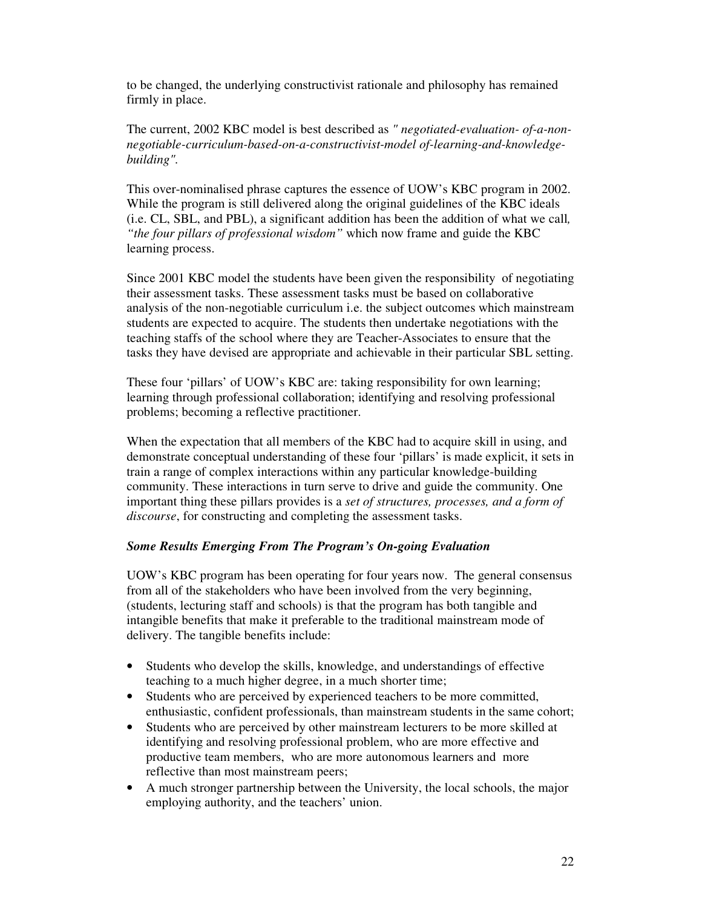to be changed, the underlying constructivist rationale and philosophy has remained firmly in place.

The current, 2002 KBC model is best described as *" negotiated-evaluation- of-a-nonnegotiable-curriculum-based-on-a-constructivist-model of-learning-and-knowledgebuilding".*

This over-nominalised phrase captures the essence of UOW's KBC program in 2002. While the program is still delivered along the original guidelines of the KBC ideals (i.e. CL, SBL, and PBL), a significant addition has been the addition of what we call*, "the four pillars of professional wisdom"* which now frame and guide the KBC learning process.

Since 2001 KBC model the students have been given the responsibility of negotiating their assessment tasks. These assessment tasks must be based on collaborative analysis of the non-negotiable curriculum i.e. the subject outcomes which mainstream students are expected to acquire. The students then undertake negotiations with the teaching staffs of the school where they are Teacher-Associates to ensure that the tasks they have devised are appropriate and achievable in their particular SBL setting.

These four 'pillars' of UOW's KBC are: taking responsibility for own learning; learning through professional collaboration; identifying and resolving professional problems; becoming a reflective practitioner.

When the expectation that all members of the KBC had to acquire skill in using, and demonstrate conceptual understanding of these four 'pillars' is made explicit, it sets in train a range of complex interactions within any particular knowledge-building community. These interactions in turn serve to drive and guide the community. One important thing these pillars provides is a *set of structures, processes, and a form of discourse*, for constructing and completing the assessment tasks.

### *Some Results Emerging From The Program's On-going Evaluation*

UOW's KBC program has been operating for four years now. The general consensus from all of the stakeholders who have been involved from the very beginning, (students, lecturing staff and schools) is that the program has both tangible and intangible benefits that make it preferable to the traditional mainstream mode of delivery. The tangible benefits include:

- Students who develop the skills, knowledge, and understandings of effective teaching to a much higher degree, in a much shorter time;
- Students who are perceived by experienced teachers to be more committed, enthusiastic, confident professionals, than mainstream students in the same cohort;
- Students who are perceived by other mainstream lecturers to be more skilled at identifying and resolving professional problem, who are more effective and productive team members, who are more autonomous learners and more reflective than most mainstream peers;
- A much stronger partnership between the University, the local schools, the major employing authority, and the teachers' union.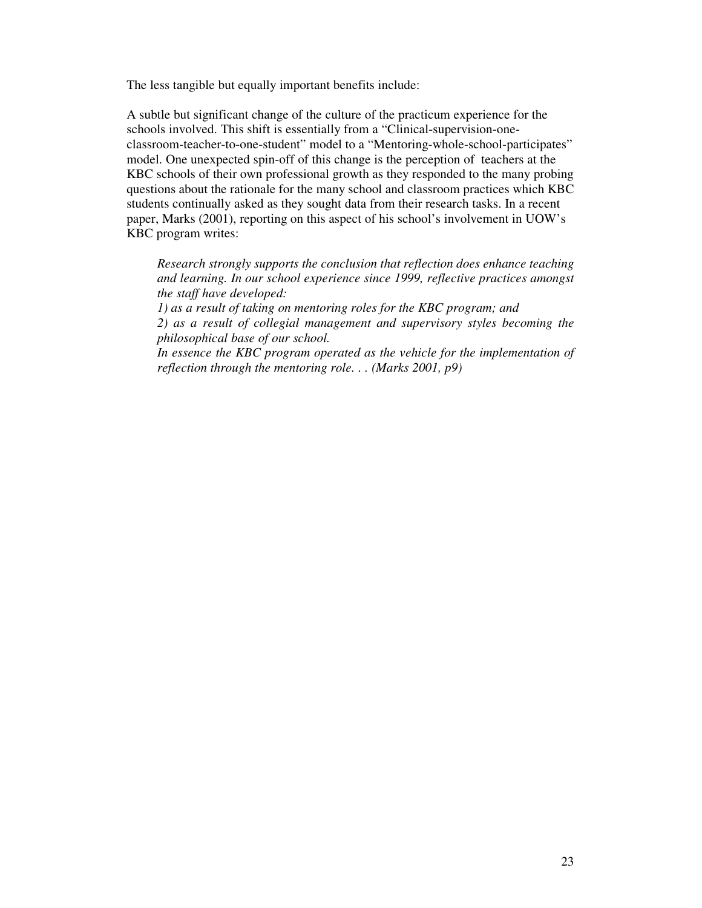The less tangible but equally important benefits include:

A subtle but significant change of the culture of the practicum experience for the schools involved. This shift is essentially from a "Clinical-supervision-oneclassroom-teacher-to-one-student" model to a "Mentoring-whole-school-participates" model. One unexpected spin-off of this change is the perception of teachers at the KBC schools of their own professional growth as they responded to the many probing questions about the rationale for the many school and classroom practices which KBC students continually asked as they sought data from their research tasks. In a recent paper, Marks (2001), reporting on this aspect of his school's involvement in UOW's KBC program writes:

*Research strongly supports the conclusion that reflection does enhance teaching and learning. In our school experience since 1999, reflective practices amongst the staff have developed:*

*1) as a result of taking on mentoring roles for the KBC program; and*

*2) as a result of collegial management and supervisory styles becoming the philosophical base of our school.*

*In essence the KBC program operated as the vehicle for the implementation of reflection through the mentoring role. . . (Marks 2001, p9)*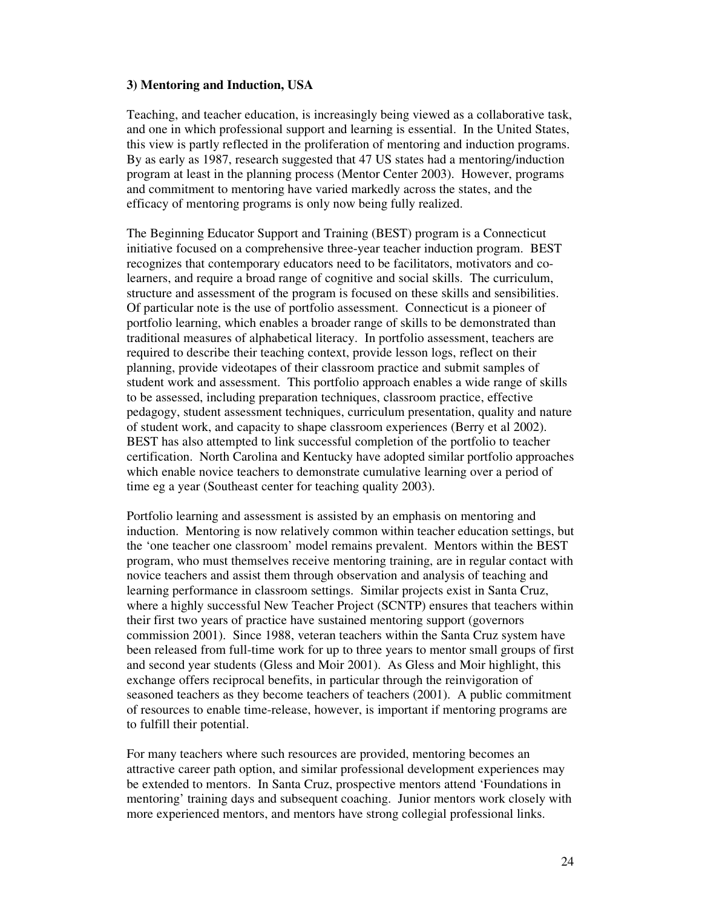#### **3) Mentoring and Induction, USA**

Teaching, and teacher education, is increasingly being viewed as a collaborative task, and one in which professional support and learning is essential. In the United States, this view is partly reflected in the proliferation of mentoring and induction programs. By as early as 1987, research suggested that 47 US states had a mentoring/induction program at least in the planning process (Mentor Center 2003). However, programs and commitment to mentoring have varied markedly across the states, and the efficacy of mentoring programs is only now being fully realized.

The Beginning Educator Support and Training (BEST) program is a Connecticut initiative focused on a comprehensive three-year teacher induction program. BEST recognizes that contemporary educators need to be facilitators, motivators and colearners, and require a broad range of cognitive and social skills. The curriculum, structure and assessment of the program is focused on these skills and sensibilities. Of particular note is the use of portfolio assessment. Connecticut is a pioneer of portfolio learning, which enables a broader range of skills to be demonstrated than traditional measures of alphabetical literacy. In portfolio assessment, teachers are required to describe their teaching context, provide lesson logs, reflect on their planning, provide videotapes of their classroom practice and submit samples of student work and assessment. This portfolio approach enables a wide range of skills to be assessed, including preparation techniques, classroom practice, effective pedagogy, student assessment techniques, curriculum presentation, quality and nature of student work, and capacity to shape classroom experiences (Berry et al 2002). BEST has also attempted to link successful completion of the portfolio to teacher certification. North Carolina and Kentucky have adopted similar portfolio approaches which enable novice teachers to demonstrate cumulative learning over a period of time eg a year (Southeast center for teaching quality 2003).

Portfolio learning and assessment is assisted by an emphasis on mentoring and induction. Mentoring is now relatively common within teacher education settings, but the 'one teacher one classroom' model remains prevalent. Mentors within the BEST program, who must themselves receive mentoring training, are in regular contact with novice teachers and assist them through observation and analysis of teaching and learning performance in classroom settings. Similar projects exist in Santa Cruz, where a highly successful New Teacher Project (SCNTP) ensures that teachers within their first two years of practice have sustained mentoring support (governors commission 2001). Since 1988, veteran teachers within the Santa Cruz system have been released from full-time work for up to three years to mentor small groups of first and second year students (Gless and Moir 2001). As Gless and Moir highlight, this exchange offers reciprocal benefits, in particular through the reinvigoration of seasoned teachers as they become teachers of teachers (2001). A public commitment of resources to enable time-release, however, is important if mentoring programs are to fulfill their potential.

For many teachers where such resources are provided, mentoring becomes an attractive career path option, and similar professional development experiences may be extended to mentors. In Santa Cruz, prospective mentors attend 'Foundations in mentoring' training days and subsequent coaching. Junior mentors work closely with more experienced mentors, and mentors have strong collegial professional links.